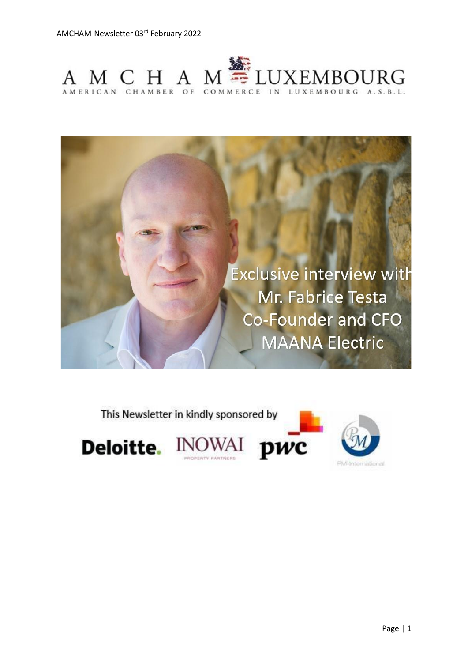



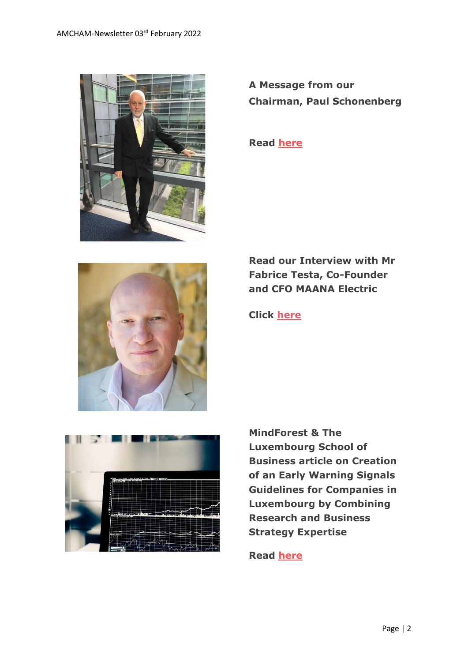

**A Message from our Chairman, Paul Schonenberg**

**Read [here](https://www.amcham.lu/newsletter/chairmans-remarks-3rd-february-2022/)**



**Read our Interview with Mr Fabrice Testa, Co-Founder and CFO MAANA Electric**

**Click [here](https://www.amcham.lu/newsletter/exclusive-interview-with-fabrice-testa-co-founder-and-cfo-maana-electric/)**



**MindForest & The Luxembourg School of Business article on Creation of an Early Warning Signals Guidelines for Companies in Luxembourg by Combining Research and Business Strategy Expertise**

**Read [here](https://www.amcham.lu/newsletter/creation-of-an-early-warning-signals-guidelines-for-companies-in-luxembourg/)**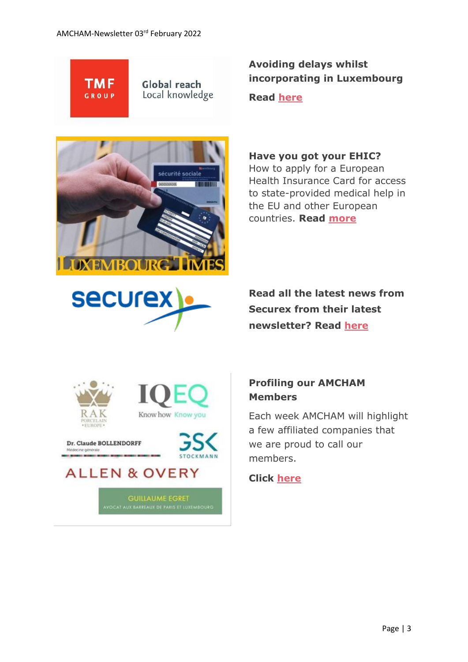

Global reach Local knowledge

# .<br>sécurité sociale **COORDINATE THE THEFT IN I IXEMBOI IRG**

### **Avoiding delays whilst incorporating in Luxembourg**

**Read [here](https://www.tmf-group.com/en/news-insights/articles/2022/january/incorporation-in-luxembourg/)**

#### **Have you got your EHIC?**

How to apply for a European Health Insurance Card for access to state-provided medical help in the EU and other European countries. **Read [more](https://www.luxtimes.lu/en/health/have-you-got-your-ehic-602d71c2de135b9236bf66a2)**



**Read all the latest news from Securex from their latest newsletter? Read [here](https://www.securex.lu/sites/default/files/2022-01/Pinboard%20January%202022.pdf)**





Dr. Claude BOLLENDORFF



**GUILLAUME EGRET<br>AVOCAT AUX BARREAUX DE PARIS ET LUXEMBOURG** 

#### **Profiling our AMCHAM Members**

Each week AMCHAM will highlight a few affiliated companies that we are proud to call our members.

#### **Click [here](https://www.amcham.lu/newsletter/profiling-our-amcham-members-03-february-2022/)**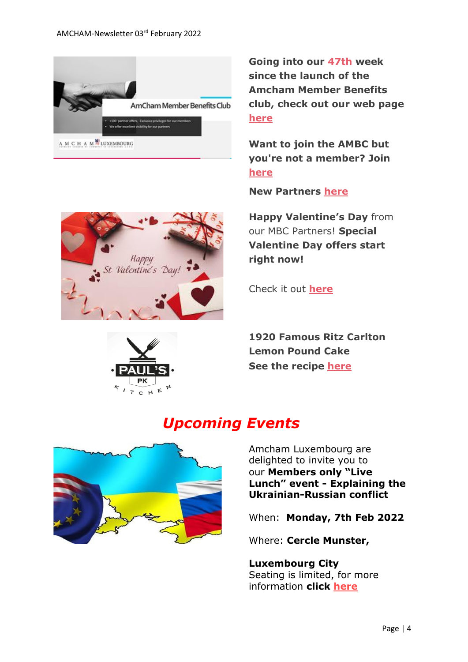

**Going into our 47th week since the launch of the Amcham Member Benefits club, check out our web page [here](https://www.amcham.lu/amcham-benefits-club/ambc-card-for-non-members/)**

**Want to join the AMBC but you're not a member? Join [here](https://www.amcham.lu/amcham-benefits-club/ambc-card-for-non-members/)**

**New Partners [here](https://www.amcham.lu/newsletter/new-mbc-partners-as-at-3rd-february-2022/)**

**Happy Valentine's Day** from our MBC Partners! **Special Valentine Day offers start right now!**

Check it out **[here](https://www.amcham.lu/newsletter/happy-valentines-day-special-mbc-offers/)**

**1920 Famous Ritz Carlton Lemon Pound Cake See the recipe [here](https://www.amcham.lu/newsletter/recipe-ritz-carlton-lemon-pound-cake/)**

# *Upcoming Events*



Amcham Luxembourg are delighted to invite you to our **Members only "Live Lunch" event - Explaining the Ukrainian-Russian conflict**

When: **Monday, 7th Feb 2022**

Where: **Cercle Munster,** 

**Luxembourg City** Seating is limited, for more information **click [here](https://www.amcham.lu/events/explaining-the-ukrainian-russian-conflict/)**